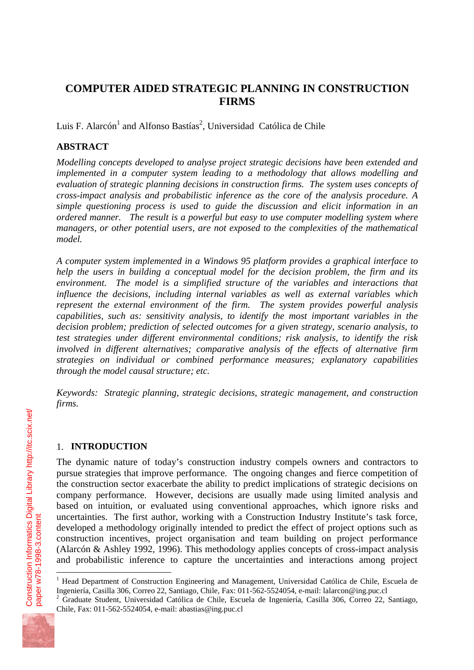# **COMPUTER AIDED STRATEGIC PLANNING IN CONSTRUCTION FIRMS**

Luis F. Alarcón<sup>1</sup> and Alfonso Bastías<sup>2</sup>, Universidad Católica de Chile

## **ABSTRACT**

*Modelling concepts developed to analyse project strategic decisions have been extended and implemented in a computer system leading to a methodology that allows modelling and evaluation of strategic planning decisions in construction firms. The system uses concepts of cross-impact analysis and probabilistic inference as the core of the analysis procedure. A simple questioning process is used to guide the discussion and elicit information in an ordered manner. The result is a powerful but easy to use computer modelling system where managers, or other potential users, are not exposed to the complexities of the mathematical model.*

*A computer system implemented in a Windows 95 platform provides a graphical interface to help the users in building a conceptual model for the decision problem, the firm and its environment. The model is a simplified structure of the variables and interactions that influence the decisions, including internal variables as well as external variables which represent the external environment of the firm. The system provides powerful analysis capabilities, such as: sensitivity analysis, to identify the most important variables in the decision problem; prediction of selected outcomes for a given strategy, scenario analysis, to test strategies under different environmental conditions; risk analysis, to identify the risk involved in different alternatives; comparative analysis of the effects of alternative firm strategies on individual or combined performance measures; explanatory capabilities through the model causal structure; etc.*

*Keywords: Strategic planning, strategic decisions, strategic management, and construction firms.*

## 1. **INTRODUCTION**

The dynamic nature of today's construction industry compels owners and contractors to pursue strategies that improve performance. The ongoing changes and fierce competition of the construction sector exacerbate the ability to predict implications of strategic decisions on company performance. However, decisions are usually made using limited analysis and based on intuition, or evaluated using conventional approaches, which ignore risks and uncertainties. The first author, working with a Construction Industry Institute's task force, developed a methodology originally intended to predict the effect of project options such as construction incentives, project organisation and team building on project performance (Alarcón & Ashley 1992, 1996). This methodology applies concepts of cross-impact analysis and probabilistic inference to capture the uncertainties and interactions among project

<sup>2</sup> Graduate Student, Universidad Católica de Chile, Escuela de Ingeniería, Casilla 306, Correo 22, Santiago, Chile, Fax: 011-562-5524054, e-mail: abastias@ing.puc.cl



 $\overline{a}$ 

<sup>&</sup>lt;sup>1</sup> Head Department of Construction Engineering and Management, Universidad Católica de Chile, Escuela de Ingeniería, Casilla 306, Correo 22, Santiago, Chile, Fax: 011-562-5524054, e-mail: lalarcon@ing.puc.cl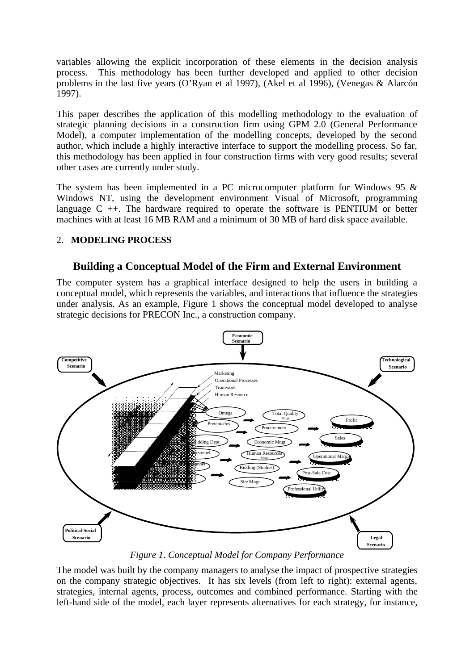variables allowing the explicit incorporation of these elements in the decision analysis process. This methodology has been further developed and applied to other decision problems in the last five years (O'Ryan et al 1997), (Akel et al 1996), (Venegas & Alarcón 1997).

This paper describes the application of this modelling methodology to the evaluation of strategic planning decisions in a construction firm using GPM 2.0 (General Performance Model), a computer implementation of the modelling concepts, developed by the second author, which include a highly interactive interface to support the modelling process. So far, this methodology has been applied in four construction firms with very good results; several other cases are currently under study.

The system has been implemented in a PC microcomputer platform for Windows 95  $\&$ Windows NT, using the development environment Visual of Microsoft, programming language  $C +$ . The hardware required to operate the software is PENTIUM or better machines with at least 16 MB RAM and a minimum of 30 MB of hard disk space available.

#### 2. **MODELING PROCESS**

## **Building a Conceptual Model of the Firm and External Environment**

The computer system has a graphical interface designed to help the users in building a conceptual model, which represents the variables, and interactions that influence the strategies under analysis. As an example, Figure 1 shows the conceptual model developed to analyse strategic decisions for PRECON Inc., a construction company.



*Figure 1. Conceptual Model for Company Performance*

The model was built by the company managers to analyse the impact of prospective strategies on the company strategic objectives. It has six levels (from left to right): external agents, strategies, internal agents, process, outcomes and combined performance. Starting with the left-hand side of the model, each layer represents alternatives for each strategy, for instance,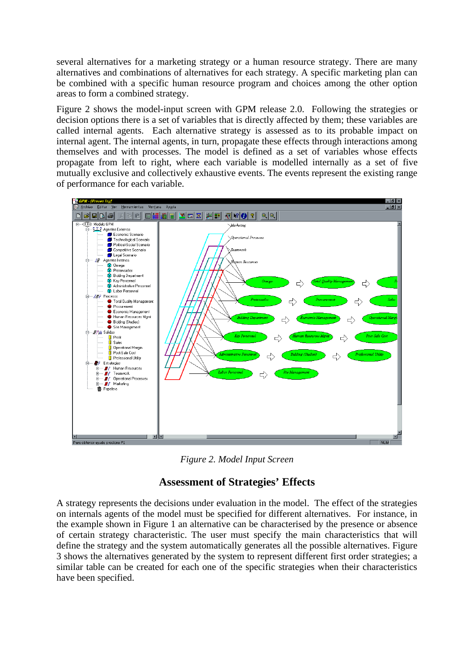several alternatives for a marketing strategy or a human resource strategy. There are many alternatives and combinations of alternatives for each strategy. A specific marketing plan can be combined with a specific human resource program and choices among the other option areas to form a combined strategy.

Figure 2 shows the model-input screen with GPM release 2.0. Following the strategies or decision options there is a set of variables that is directly affected by them; these variables are called internal agents. Each alternative strategy is assessed as to its probable impact on internal agent. The internal agents, in turn, propagate these effects through interactions among themselves and with processes. The model is defined as a set of variables whose effects propagate from left to right, where each variable is modelled internally as a set of five mutually exclusive and collectively exhaustive events. The events represent the existing range of performance for each variable.



*Figure 2. Model Input Screen*

# **Assessment of Strategies' Effects**

A strategy represents the decisions under evaluation in the model. The effect of the strategies on internals agents of the model must be specified for different alternatives. For instance, in the example shown in Figure 1 an alternative can be characterised by the presence or absence of certain strategy characteristic. The user must specify the main characteristics that will define the strategy and the system automatically generates all the possible alternatives. Figure 3 shows the alternatives generated by the system to represent different first order strategies; a similar table can be created for each one of the specific strategies when their characteristics have been specified.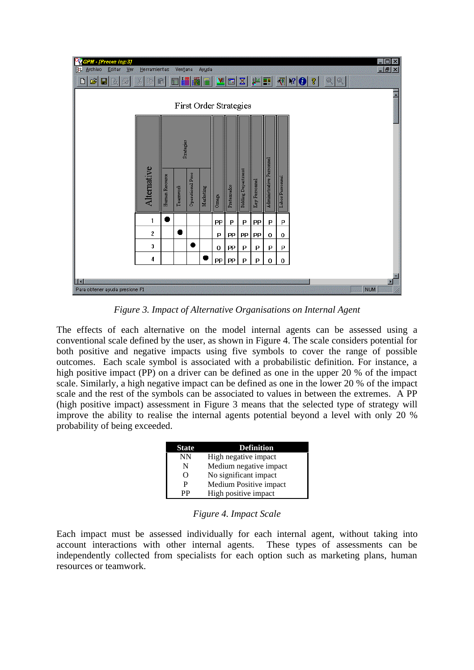| GPM - [Precon Ing:3]<br>Archivo<br>Editar<br>B.<br>Ver | Herramientas |                | Ventana<br>п           |                  | Ayuda     |          |                             |                           |               |                          |                 |                                                                                                             | $\Box$ $\times$<br>$   \times$ |
|--------------------------------------------------------|--------------|----------------|------------------------|------------------|-----------|----------|-----------------------------|---------------------------|---------------|--------------------------|-----------------|-------------------------------------------------------------------------------------------------------------|--------------------------------|
| 凶<br>鱼<br>口<br>[4]<br>ľ                                | $\chi$<br>咱  | 8              | 丽                      | 鼺                | 扁         |          | $\mathbf{v}$ $\mathbf{m}$ , | $ \mathbf{x} $            | <b>SACT</b>   |                          |                 | $\left\Vert \mathbf{V}\right\Vert \mathbf{V}\left\Vert \mathbf{Q}\right\Vert \mathbf{V}\right\Vert$<br> Q Q |                                |
| First Order Strategies                                 |              |                |                        |                  |           |          |                             |                           |               |                          |                 |                                                                                                             |                                |
|                                                        | Alternative  | Human Resource | Strategies<br>Teamwork | Operational Proc | Marketing | Omega    | Pretersados                 | <b>Bidding Department</b> | Key Personnel | Administrative Personnel | Labor Personnel |                                                                                                             |                                |
|                                                        | 1            |                |                        |                  |           | PP       | P                           | P                         | PP            | P                        | P               |                                                                                                             |                                |
|                                                        | 2            |                |                        |                  |           | P        | PP                          | PP                        | PP            | 0                        | 0               |                                                                                                             |                                |
|                                                        | 3            |                |                        | œ                |           | $\bf{0}$ | PP                          | P                         | P             | P                        | P               |                                                                                                             |                                |
|                                                        | 4            |                |                        |                  |           | PP       | PP                          | P                         | P             | $\bf{0}$                 | $\bf{0}$        |                                                                                                             |                                |
| <b>TE</b>                                              |              |                |                        |                  |           |          |                             |                           |               |                          |                 |                                                                                                             | 圓                              |
| Para obtener ayuda presione F1                         |              |                |                        |                  |           |          |                             |                           |               |                          |                 | <b>NUM</b>                                                                                                  |                                |

*Figure 3. Impact of Alternative Organisations on Internal Agent*

The effects of each alternative on the model internal agents can be assessed using a conventional scale defined by the user, as shown in Figure 4. The scale considers potential for both positive and negative impacts using five symbols to cover the range of possible outcomes. Each scale symbol is associated with a probabilistic definition. For instance, a high positive impact (PP) on a driver can be defined as one in the upper 20 % of the impact scale. Similarly, a high negative impact can be defined as one in the lower 20 % of the impact scale and the rest of the symbols can be associated to values in between the extremes. A PP (high positive impact) assessment in Figure 3 means that the selected type of strategy will improve the ability to realise the internal agents potential beyond a level with only 20 % probability of being exceeded.

| <b>State</b> | <b>Definition</b>      |
|--------------|------------------------|
| <b>NN</b>    | High negative impact   |
| N            | Medium negative impact |
| O            | No significant impact  |
| P            | Medium Positive impact |
| РP           | High positive impact   |

*Figure 4. Impact Scale*

Each impact must be assessed individually for each internal agent, without taking into account interactions with other internal agents. These types of assessments can be independently collected from specialists for each option such as marketing plans, human resources or teamwork.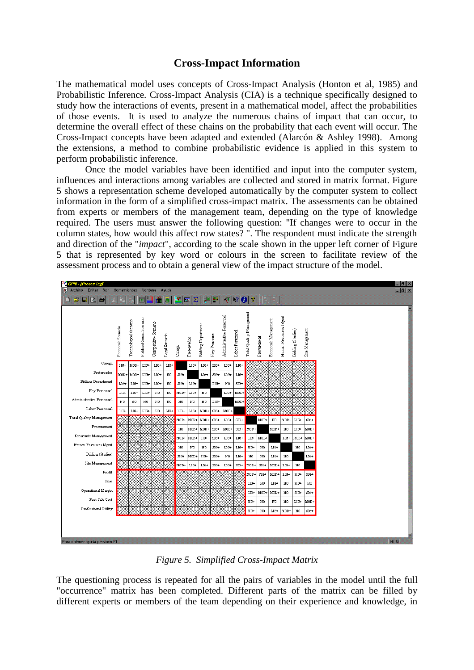## **Cross-Impact Information**

The mathematical model uses concepts of Cross-Impact Analysis (Honton et al, 1985) and Probabilistic Inference. Cross-Impact Analysis (CIA) is a technique specifically designed to study how the interactions of events, present in a mathematical model, affect the probabilities of those events. It is used to analyze the numerous chains of impact that can occur, to determine the overall effect of these chains on the probability that each event will occur. The Cross-Impact concepts have been adapted and extended (Alarcón & Ashley 1998). Among the extensions, a method to combine probabilistic evidence is applied in this system to perform probabilistic inference.

Once the model variables have been identified and input into the computer system, influences and interactions among variables are collected and stored in matrix format. Figure 5 shows a representation scheme developed automatically by the computer system to collect information in the form of a simplified cross-impact matrix. The assessments can be obtained from experts or members of the management team, depending on the type of knowledge required. The users must answer the following question: "If changes were to occur in the column states, how would this affect row states? ". The respondent must indicate the strength and direction of the "*impact*", according to the scale shown in the upper left corner of Figure 5 that is represented by key word or colours in the screen to facilitate review of the assessment process and to obtain a general view of the impact structure of the model.



*Figure 5. Simplified Cross-Impact Matrix*

The questioning process is repeated for all the pairs of variables in the model until the full "occurrence" matrix has been completed. Different parts of the matrix can be filled by different experts or members of the team depending on their experience and knowledge, in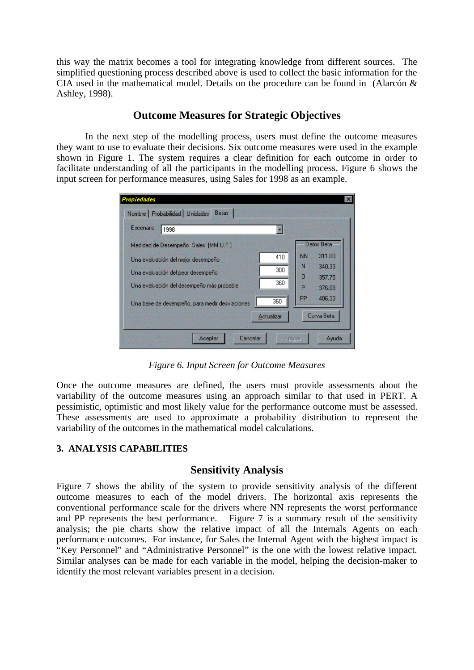this way the matrix becomes a tool for integrating knowledge from different sources. The simplified questioning process described above is used to collect the basic information for the CIA used in the mathematical model. Details on the procedure can be found in (Alarcón & Ashley, 1998).

## **Outcome Measures for Strategic Objectives**

In the next step of the modelling process, users must define the outcome measures they want to use to evaluate their decisions. Six outcome measures were used in the example shown in Figure 1. The system requires a clear definition for each outcome in order to facilitate understanding of all the participants in the modelling process. Figure 6 shows the input screen for performance measures, using Sales for 1998 as an example.

| ropiedades                                                                     |            |           |                  |
|--------------------------------------------------------------------------------|------------|-----------|------------------|
| Nombre   Probabilidad   Unidades<br><b>Betas</b><br>Escenario<br>1998          |            |           |                  |
| Medidad de Desempeño Sales [MM U.F.]                                           |            |           | Datos Beta       |
| Una evaluación del mejor desempeño                                             | 410        | NN<br>Ν   | 311.00<br>340.33 |
| Una evaluación del peor desempeño<br>Una evaluación del desempeño más probable | 300<br>360 | 0<br>P    | 357.75<br>376.08 |
| Una base de desempeño, para medir desviaciones                                 | 360        | <b>PP</b> | 406.33           |
|                                                                                | Actualizar |           | Curva Beta       |
| Cancelar<br>Aceptar                                                            | Aplicar    |           | Ayuda            |

*Figure 6. Input Screen for Outcome Measures*

Once the outcome measures are defined, the users must provide assessments about the variability of the outcome measures using an approach similar to that used in PERT. A pessimistic, optimistic and most likely value for the performance outcome must be assessed. These assessments are used to approximate a probability distribution to represent the variability of the outcomes in the mathematical model calculations.

#### **3. ANALYSIS CAPABILITIES**

#### **Sensitivity Analysis**

Figure 7 shows the ability of the system to provide sensitivity analysis of the different outcome measures to each of the model drivers. The horizontal axis represents the conventional performance scale for the drivers where NN represents the worst performance and PP represents the best performance. Figure 7 is a summary result of the sensitivity analysis; the pie charts show the relative impact of all the Internals Agents on each performance outcomes. For instance, for Sales the Internal Agent with the highest impact is "Key Personnel" and "Administrative Personnel" is the one with the lowest relative impact. Similar analyses can be made for each variable in the model, helping the decision-maker to identify the most relevant variables present in a decision.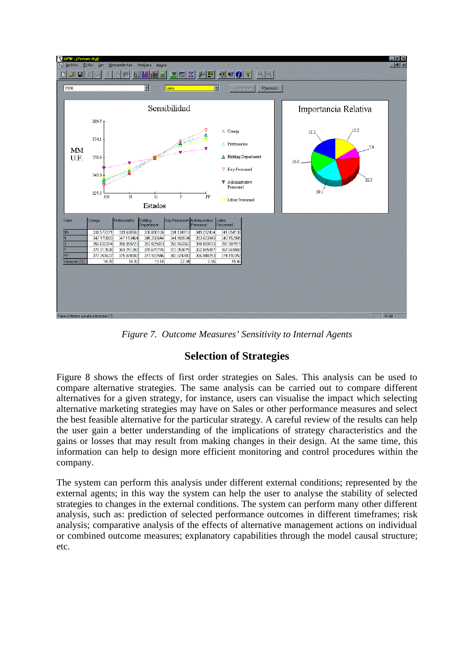

*Figure 7. Outcome Measures' Sensitivity to Internal Agents*

# **Selection of Strategies**

Figure 8 shows the effects of first order strategies on Sales. This analysis can be used to compare alternative strategies. The same analysis can be carried out to compare different alternatives for a given strategy, for instance, users can visualise the impact which selecting alternative marketing strategies may have on Sales or other performance measures and select the best feasible alternative for the particular strategy. A careful review of the results can help the user gain a better understanding of the implications of strategy characteristics and the gains or losses that may result from making changes in their design. At the same time, this information can help to design more efficient monitoring and control procedures within the company.

The system can perform this analysis under different external conditions; represented by the external agents; in this way the system can help the user to analyse the stability of selected strategies to changes in the external conditions. The system can perform many other different analysis, such as: prediction of selected performance outcomes in different timeframes; risk analysis; comparative analysis of the effects of alternative management actions on individual or combined outcome measures; explanatory capabilities through the model causal structure; etc.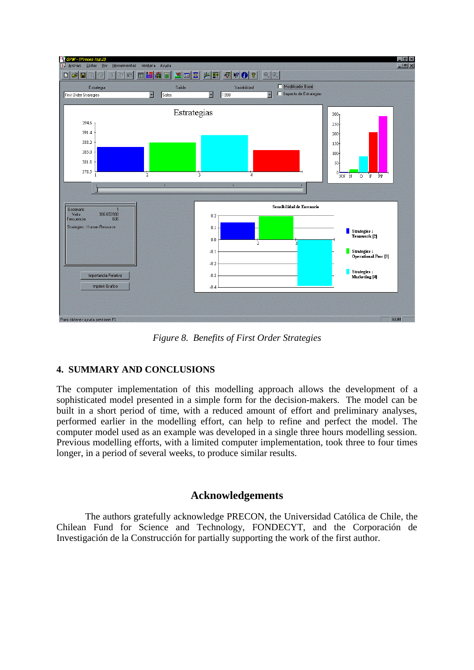

*Figure 8. Benefits of First Order Strategies*

#### **4. SUMMARY AND CONCLUSIONS**

The computer implementation of this modelling approach allows the development of a sophisticated model presented in a simple form for the decision-makers. The model can be built in a short period of time, with a reduced amount of effort and preliminary analyses, performed earlier in the modelling effort, can help to refine and perfect the model. The computer model used as an example was developed in a single three hours modelling session. Previous modelling efforts, with a limited computer implementation, took three to four times longer, in a period of several weeks, to produce similar results.

## **Acknowledgements**

The authors gratefully acknowledge PRECON, the Universidad Católica de Chile, the Chilean Fund for Science and Technology, FONDECYT, and the Corporación de Investigación de la Construcción for partially supporting the work of the first author.